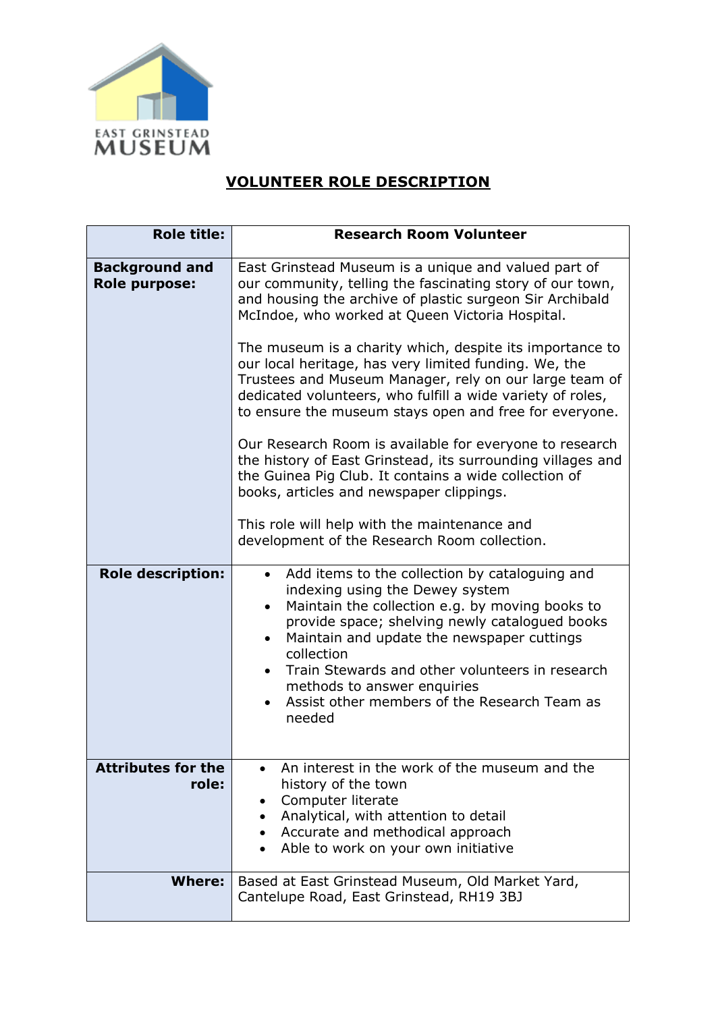

## **VOLUNTEER ROLE DESCRIPTION**

| <b>Role title:</b>                     | <b>Research Room Volunteer</b>                                                                                                                                                                                                                                                                                                                                                                                                                                                                                                                                                                                                                                                                                                                                                                                         |
|----------------------------------------|------------------------------------------------------------------------------------------------------------------------------------------------------------------------------------------------------------------------------------------------------------------------------------------------------------------------------------------------------------------------------------------------------------------------------------------------------------------------------------------------------------------------------------------------------------------------------------------------------------------------------------------------------------------------------------------------------------------------------------------------------------------------------------------------------------------------|
| <b>Background and</b><br>Role purpose: | East Grinstead Museum is a unique and valued part of<br>our community, telling the fascinating story of our town,<br>and housing the archive of plastic surgeon Sir Archibald<br>McIndoe, who worked at Queen Victoria Hospital.<br>The museum is a charity which, despite its importance to<br>our local heritage, has very limited funding. We, the<br>Trustees and Museum Manager, rely on our large team of<br>dedicated volunteers, who fulfill a wide variety of roles,<br>to ensure the museum stays open and free for everyone.<br>Our Research Room is available for everyone to research<br>the history of East Grinstead, its surrounding villages and<br>the Guinea Pig Club. It contains a wide collection of<br>books, articles and newspaper clippings.<br>This role will help with the maintenance and |
|                                        | development of the Research Room collection.                                                                                                                                                                                                                                                                                                                                                                                                                                                                                                                                                                                                                                                                                                                                                                           |
| <b>Role description:</b>               | Add items to the collection by cataloguing and<br>$\bullet$<br>indexing using the Dewey system<br>Maintain the collection e.g. by moving books to<br>provide space; shelving newly catalogued books<br>Maintain and update the newspaper cuttings<br>$\bullet$<br>collection<br>Train Stewards and other volunteers in research<br>methods to answer enquiries<br>Assist other members of the Research Team as<br>$\bullet$<br>needed                                                                                                                                                                                                                                                                                                                                                                                  |
| <b>Attributes for the</b><br>role:     | An interest in the work of the museum and the<br>history of the town<br>Computer literate<br>Analytical, with attention to detail<br>Accurate and methodical approach<br>Able to work on your own initiative                                                                                                                                                                                                                                                                                                                                                                                                                                                                                                                                                                                                           |
| <b>Where:</b>                          | Based at East Grinstead Museum, Old Market Yard,<br>Cantelupe Road, East Grinstead, RH19 3BJ                                                                                                                                                                                                                                                                                                                                                                                                                                                                                                                                                                                                                                                                                                                           |